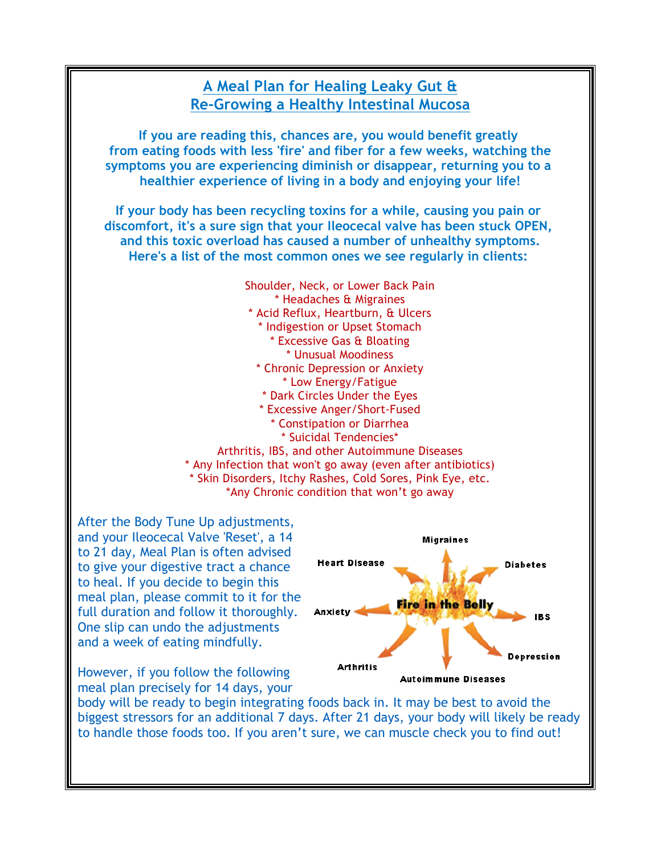### **A Meal Plan for Healing Leaky Gut & Re-Growing a Healthy Intestinal Mucosa**

**If you are reading this, chances are, you would benefit greatly from eating foods with less 'fire' and fiber for a few weeks, watching the symptoms you are experiencing diminish or disappear, returning you to a healthier experience of living in a body and enjoying your life!**

**If your body has been recycling toxins for a while, causing you pain or discomfort, it's a sure sign that your Ileocecal valve has been stuck OPEN, and this toxic overload has caused a number of unhealthy symptoms. Here's a list of the most common ones we see regularly in clients:**



After the Body Tune Up adjustments, and your Ileocecal Valve 'Reset', a 14 to 21 day, Meal Plan is often advised to give your digestive tract a chance to heal. If you decide to begin this meal plan, please commit to it for the full duration and follow it thoroughly. One slip can undo the adjustments and a week of eating mindfully.

However, if you follow the following meal plan precisely for 14 days, your



body will be ready to begin integrating foods back in. It may be best to avoid the biggest stressors for an additional 7 days. After 21 days, your body will likely be ready to handle those foods too. If you aren't sure, we can muscle check you to find out!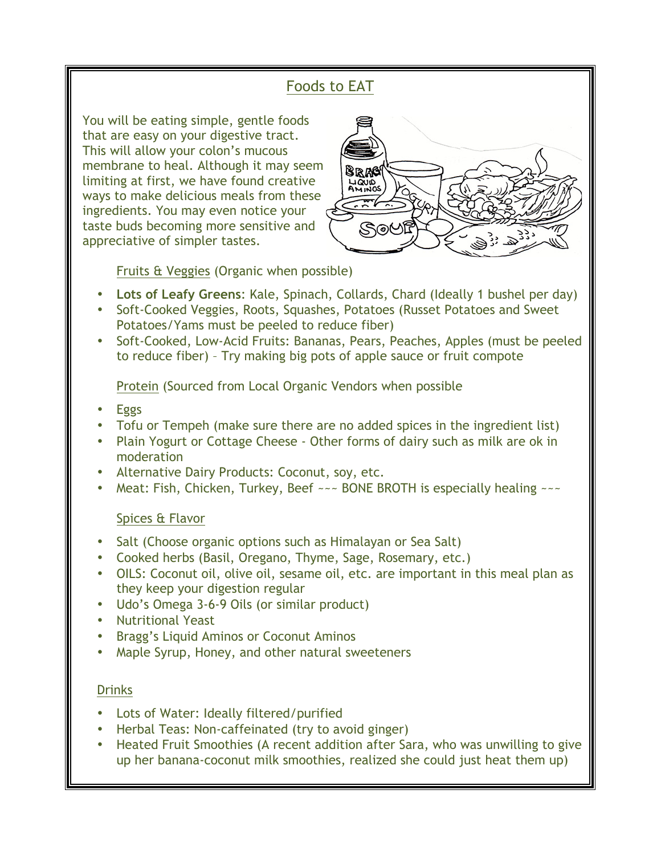# Foods to EAT

You will be eating simple, gentle foods that are easy on your digestive tract. This will allow your colon's mucous membrane to heal. Although it may seem limiting at first, we have found creative ways to make delicious meals from these ingredients. You may even notice your taste buds becoming more sensitive and appreciative of simpler tastes.



Fruits & Veggies (Organic when possible)

- **Lots of Leafy Greens**: Kale, Spinach, Collards, Chard (Ideally 1 bushel per day)
- Soft-Cooked Veggies, Roots, Squashes, Potatoes (Russet Potatoes and Sweet Potatoes/Yams must be peeled to reduce fiber)
- Soft-Cooked, Low-Acid Fruits: Bananas, Pears, Peaches, Apples (must be peeled to reduce fiber) – Try making big pots of apple sauce or fruit compote

Protein (Sourced from Local Organic Vendors when possible

- Eggs
- Tofu or Tempeh (make sure there are no added spices in the ingredient list)
- Plain Yogurt or Cottage Cheese Other forms of dairy such as milk are ok in moderation
- Alternative Dairy Products: Coconut, soy, etc.
- Meat: Fish, Chicken, Turkey, Beef  $\sim$  BONE BROTH is especially healing  $\sim$   $\sim$

### Spices & Flavor

- Salt (Choose organic options such as Himalayan or Sea Salt)
- Cooked herbs (Basil, Oregano, Thyme, Sage, Rosemary, etc.)
- OILS: Coconut oil, olive oil, sesame oil, etc. are important in this meal plan as they keep your digestion regular
- Udo's Omega 3-6-9 Oils (or similar product)
- Nutritional Yeast
- Bragg's Liquid Aminos or Coconut Aminos
- Maple Syrup, Honey, and other natural sweeteners

### Drinks

- Lots of Water: Ideally filtered/purified
- Herbal Teas: Non-caffeinated (try to avoid ginger)
- Heated Fruit Smoothies (A recent addition after Sara, who was unwilling to give up her banana-coconut milk smoothies, realized she could just heat them up)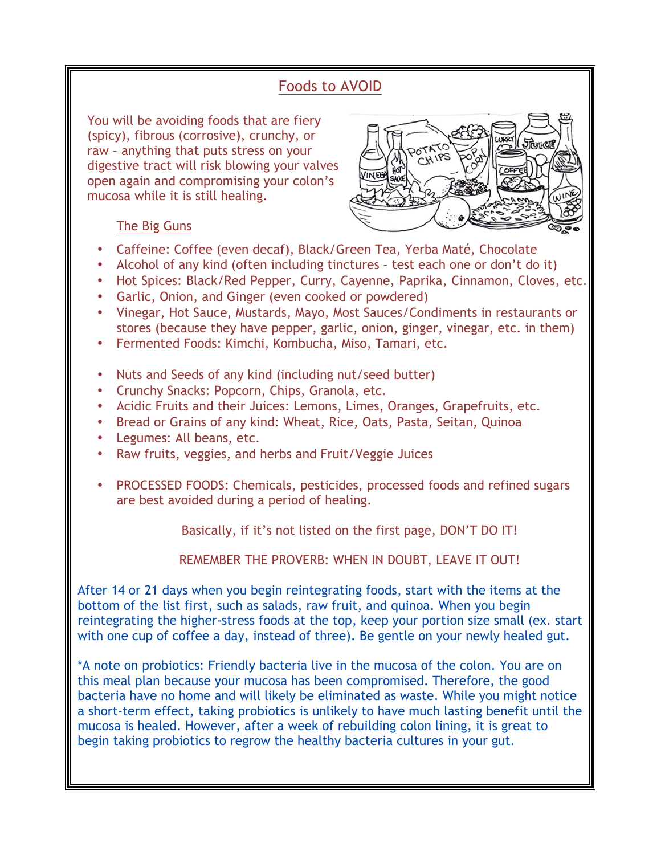## Foods to AVOID

You will be avoiding foods that are fiery (spicy), fibrous (corrosive), crunchy, or raw – anything that puts stress on your digestive tract will risk blowing your valves open again and compromising your colon's mucosa while it is still healing.



### The Big Guns

- Caffeine: Coffee (even decaf), Black/Green Tea, Yerba Maté, Chocolate
- Alcohol of any kind (often including tinctures test each one or don't do it)
- Hot Spices: Black/Red Pepper, Curry, Cayenne, Paprika, Cinnamon, Cloves, etc.
- Garlic, Onion, and Ginger (even cooked or powdered)
- Vinegar, Hot Sauce, Mustards, Mayo, Most Sauces/Condiments in restaurants or stores (because they have pepper, garlic, onion, ginger, vinegar, etc. in them)
- Fermented Foods: Kimchi, Kombucha, Miso, Tamari, etc.
- Nuts and Seeds of any kind (including nut/seed butter)
- Crunchy Snacks: Popcorn, Chips, Granola, etc.
- Acidic Fruits and their Juices: Lemons, Limes, Oranges, Grapefruits, etc.
- Bread or Grains of any kind: Wheat, Rice, Oats, Pasta, Seitan, Quinoa
- Legumes: All beans, etc.
- Raw fruits, veggies, and herbs and Fruit/Veggie Juices
- PROCESSED FOODS: Chemicals, pesticides, processed foods and refined sugars are best avoided during a period of healing.

Basically, if it's not listed on the first page, DON'T DO IT!

REMEMBER THE PROVERB: WHEN IN DOUBT, LEAVE IT OUT!

After 14 or 21 days when you begin reintegrating foods, start with the items at the bottom of the list first, such as salads, raw fruit, and quinoa. When you begin reintegrating the higher-stress foods at the top, keep your portion size small (ex. start with one cup of coffee a day, instead of three). Be gentle on your newly healed gut.

\*A note on probiotics: Friendly bacteria live in the mucosa of the colon. You are on this meal plan because your mucosa has been compromised. Therefore, the good bacteria have no home and will likely be eliminated as waste. While you might notice a short-term effect, taking probiotics is unlikely to have much lasting benefit until the mucosa is healed. However, after a week of rebuilding colon lining, it is great to begin taking probiotics to regrow the healthy bacteria cultures in your gut.